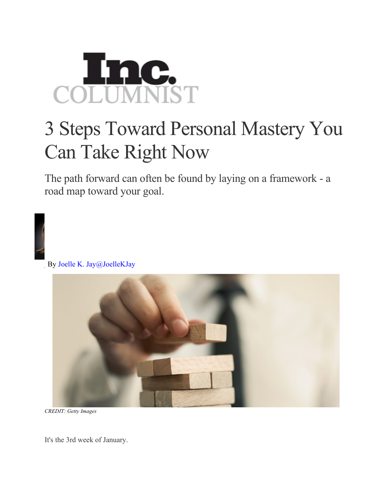

## 3 Steps Toward Personal Mastery You Can Take Right Now

The path forward can often be found by laying on a framework - a road map toward your goal.

By Joelle K. Jay@JoelleKJay



*CREDIT: Getty Images*

It's the 3rd week of January.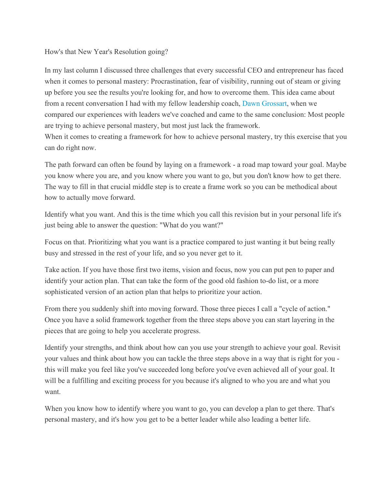## How's that New Year's Resolution going?

In my last column I discussed three challenges that every successful CEO and entrepreneur has faced when it comes to personal mastery: Procrastination, fear of visibility, running out of steam or giving up before you see the results you're looking for, and how to overcome them. This idea came about from a recent conversation I had with my fellow leadership coach, Dawn Grossart, when we compared our experiences with leaders we've coached and came to the same conclusion: Most people are trying to achieve personal mastery, but most just lack the framework.

When it comes to creating a framework for how to achieve personal mastery, try this exercise that you can do right now.

The path forward can often be found by laying on a framework - a road map toward your goal. Maybe you know where you are, and you know where you want to go, but you don't know how to get there. The way to fill in that crucial middle step is to create a frame work so you can be methodical about how to actually move forward.

Identify what you want. And this is the time which you call this revision but in your personal life it's just being able to answer the question: "What do you want?"

Focus on that. Prioritizing what you want is a practice compared to just wanting it but being really busy and stressed in the rest of your life, and so you never get to it.

Take action. If you have those first two items, vision and focus, now you can put pen to paper and identify your action plan. That can take the form of the good old fashion to-do list, or a more sophisticated version of an action plan that helps to prioritize your action.

From there you suddenly shift into moving forward. Those three pieces I call a "cycle of action." Once you have a solid framework together from the three steps above you can start layering in the pieces that are going to help you accelerate progress.

Identify your strengths, and think about how can you use your strength to achieve your goal. Revisit your values and think about how you can tackle the three steps above in a way that is right for you this will make you feel like you've succeeded long before you've even achieved all of your goal. It will be a fulfilling and exciting process for you because it's aligned to who you are and what you want.

When you know how to identify where you want to go, you can develop a plan to get there. That's personal mastery, and it's how you get to be a better leader while also leading a better life.